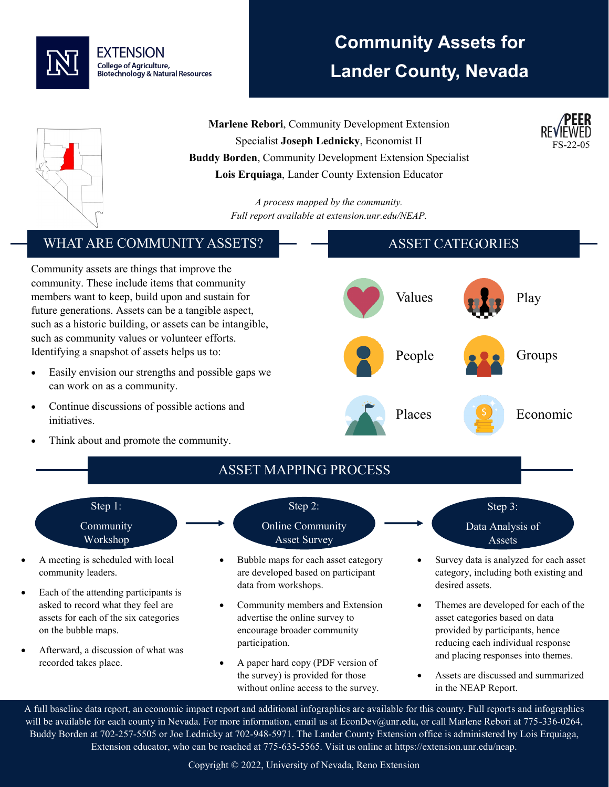

# **Community Assets for Lander County, Nevada**

FS-22-05



**Marlene Rebori**, Community Development Extension Specialist **Joseph Lednicky**, Economist II **Buddy Borden**, Community Development Extension Specialist **Lois Erquiaga**, Lander County Extension Educator

> *A process mapped by the community. Full report available at extension.unr.edu/NEAP.*

### WHAT ARE COMMUNITY ASSETS?

Community assets are things that improve the community. These include items that community members want to keep, build upon and sustain for future generations. Assets can be a tangible aspect, such as a historic building, or assets can be intangible, such as community values or volunteer efforts. Identifying a snapshot of assets helps us to:

- Easily envision our strengths and possible gaps we can work on as a community.
- Continue discussions of possible actions and initiatives.
- Think about and promote the community.





• Assets are discussed and summarized in the NEAP Report.

A full baseline data report, an economic impact report and additional infographics are available for this county. Full reports and infographics will be available for each county in Nevada. For more information, email us at EconDev@unr.edu, or call Marlene Rebori at 775-336-0264, Buddy Borden at 702-257-5505 or Joe Lednicky at 702-948-5971. The Lander County Extension office is administered by Lois Erquiaga, Extension educator, who can be reached at 775-635-5565. Visit us online at https://extension.unr.edu/neap.

without online access to the survey.